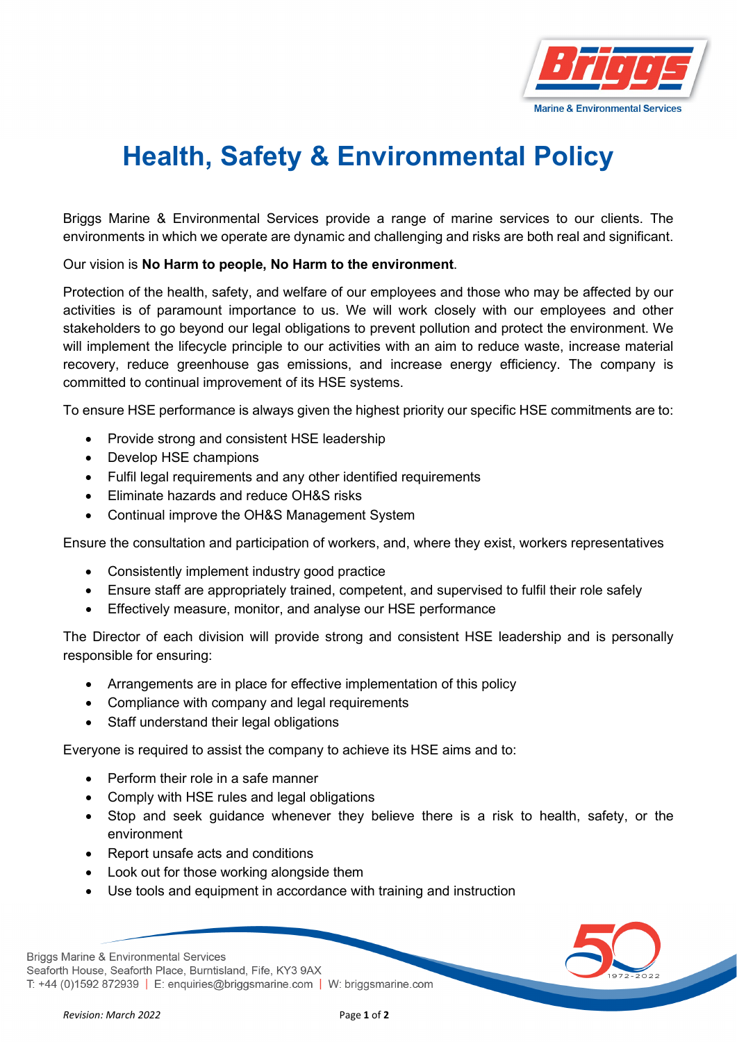

## **Health, Safety & Environmental Policy**

Briggs Marine & Environmental Services provide a range of marine services to our clients. The environments in which we operate are dynamic and challenging and risks are both real and significant.

Our vision is **No Harm to people, No Harm to the environment**.

Protection of the health, safety, and welfare of our employees and those who may be affected by our activities is of paramount importance to us. We will work closely with our employees and other stakeholders to go beyond our legal obligations to prevent pollution and protect the environment. We will implement the lifecycle principle to our activities with an aim to reduce waste, increase material recovery, reduce greenhouse gas emissions, and increase energy efficiency. The company is committed to continual improvement of its HSE systems.

To ensure HSE performance is always given the highest priority our specific HSE commitments are to:

- Provide strong and consistent HSE leadership
- Develop HSE champions
- Fulfil legal requirements and any other identified requirements
- Eliminate hazards and reduce OH&S risks
- Continual improve the OH&S Management System

Ensure the consultation and participation of workers, and, where they exist, workers representatives

- Consistently implement industry good practice
- Ensure staff are appropriately trained, competent, and supervised to fulfil their role safely
- Effectively measure, monitor, and analyse our HSE performance

The Director of each division will provide strong and consistent HSE leadership and is personally responsible for ensuring:

- Arrangements are in place for effective implementation of this policy
- Compliance with company and legal requirements
- Staff understand their legal obligations

Everyone is required to assist the company to achieve its HSE aims and to:

- Perform their role in a safe manner
- Comply with HSE rules and legal obligations
- Stop and seek guidance whenever they believe there is a risk to health, safety, or the environment
- Report unsafe acts and conditions
- Look out for those working alongside them
- Use tools and equipment in accordance with training and instruction

**Briggs Marine & Environmental Services** Seaforth House, Seaforth Place, Burntisland, Fife, KY3 9AX T: +44 (0)1592 872939 | E: enquiries@briggsmarine.com | W: briggsmarine.com